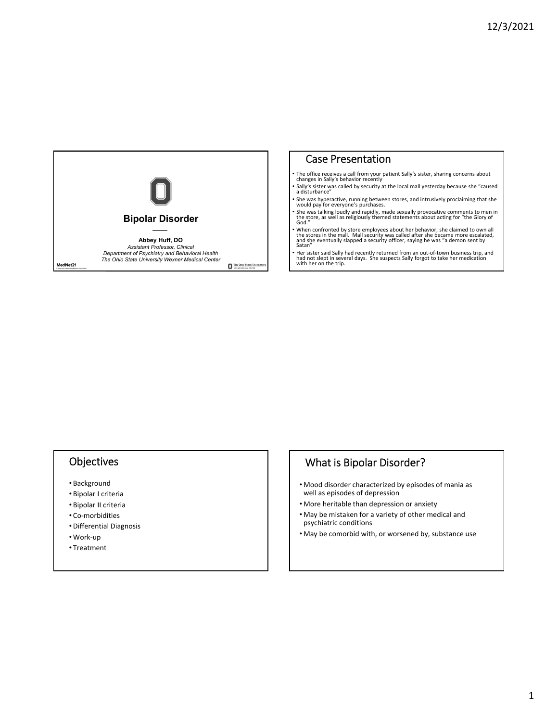

# Case Presentation

- The office receives <sup>a</sup> call from your patient Sally's sister, sharing concerns about changes in Sally's behavior recently
- Sally's sister was called by security at the local mall yesterday because she "caused <sup>a</sup> disturbance"
- She was hyperactive, running between stores, and intrusively proclaiming that she would pay for everyone's purchases.
- She was talking loudly and rapidly, made sexually provocative comments to men in<br>the store, as well as religiously themed statements about acting for "the Glory of<br>God."
- When confronted by store employees about her behavior, she claimed to own all<br>the stores in the mall. Mall security was called after she became more escalated,<br>and she eventually slapped a security officer, saying he was
- Her sister said Sally had recently returned from an out-of-town business trip, and not slept in several days. She suspects Sally forgot to take her medication with her on the trip.

# **Objectives**

- Background
- Bipolar I criteria
- Bipolar II criteria
- Co‐morbidities
- Differential Diagnosis
- Work‐up
- Treatment

# What is Bipolar Disorder?

- Mood disorder characterized by episodes of mania as well as episodes of depression
- More heritable than depression or anxiety
- May be mistaken for a variety of other medical and psychiatric conditions
- May be comorbid with, or worsened by, substance use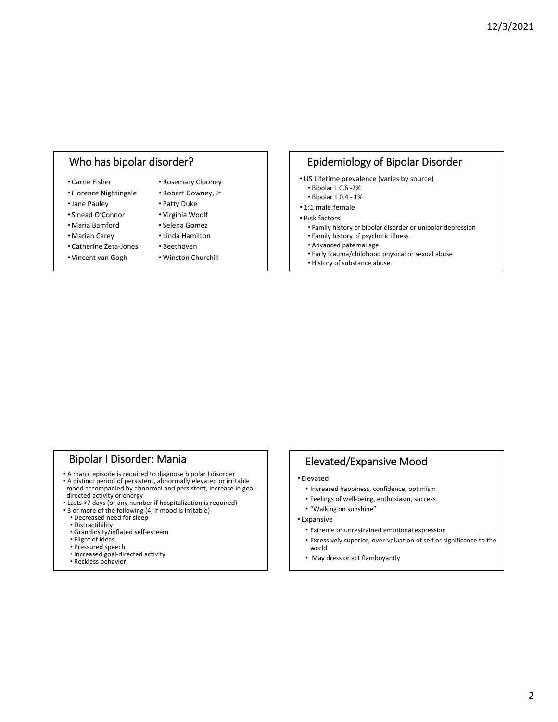# Who has bipolar disorder?

- Carrie Fisher
- Florence Nightingale
- •Jane Pauley
- Sinead O'Connor
- Maria Bamford
- Mariah Carey
	- Linda Hamilton
- Catherine Zeta‐Jones • Vincent van Gogh
- Beethoven
- Winston Churchill

• Rosemary Clooney • Robert Downey, Jr • Patty Duke • Virginia Woolf • Selena Gomez

# Epidemiology of Bipolar Disorder

- US Lifetime prevalence (varies by source)
- Bipolar I 0.6 ‐2%
- Bipolar II 0.4 ‐ 1%
- 1:1 male:female
- Risk factors
	- Family history of bipolar disorder or unipolar depression
	- Family history of psychotic illness
	- Advanced paternal age
	- Early trauma/childhood physical or sexual abuse
	- History of substance abuse

### Bipolar I Disorder: Mania

- A manic episode is required to diagnose bipolar I disorder
- A distinct period of persistent, abnormally elevated or irritable mood accompanied by abnormal and persistent, increase in goaldirected activity or energy
- Lasts >7 days (or any number if hospitalization is required)
- 3 or more of the following (4, if mood is irritable)
	- Decreased need for sleep
	- Distractibility
	- Grandiosity/inflated self‐esteem
	- Flight of ideas • Pressured speech
	- Increased goal‐directed activity
	- Reckless behavior

# Elevated/Expansive Mood

- Elevated
	- Increased happiness, confidence, optimism
- Feelings of well‐being, enthusiasm, success
- "Walking on sunshine"
- Expansive
	- Extreme or unrestrained emotional expression
	- Excessively superior, over‐valuation of self or significance to the world
	- May dress or act flamboyantly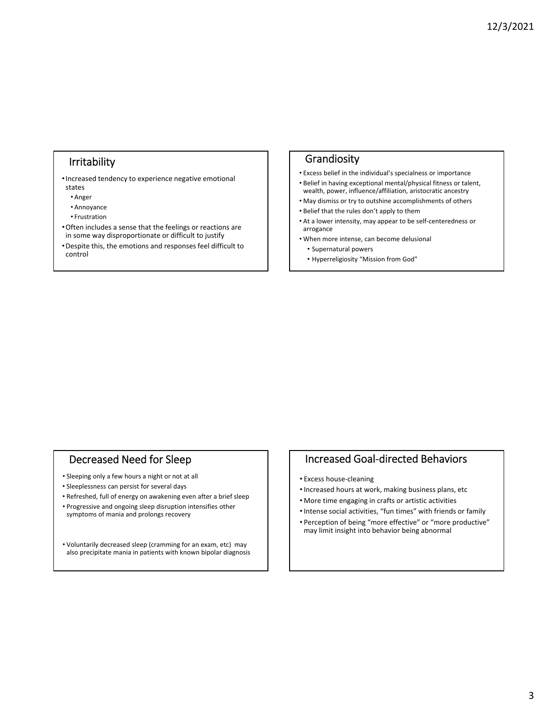# Irritability

•Increased tendency to experience negative emotional states

- Anger
- Annoyance
- Frustration
- •Often includes a sense that the feelings or reactions are in some way disproportionate or difficult to justify
- •Despite this, the emotions and responses feel difficult to control

### Grandiosity

- Excess belief in the individual's specialness or importance
- Belief in having exceptional mental/physical fitness or talent, wealth, power, influence/affiliation, aristocratic ancestry
- May dismiss or try to outshine accomplishments of others • Belief that the rules don't apply to them
- At a lower intensity, may appear to be self‐centeredness or arrogance
- When more intense, can become delusional
	- Supernatural powers
	- Hyperreligiosity "Mission from God"

# Decreased Need for Sleep

- Sleeping only a few hours a night or not at all
- Sleeplessness can persist for several days
- Refreshed, full of energy on awakening even after a brief sleep
- Progressive and ongoing sleep disruption intensifies other symptoms of mania and prolongs recovery

• Voluntarily decreased sleep (cramming for an exam, etc) may also precipitate mania in patients with known bipolar diagnosis

# Increased Goal‐directed Behaviors

- Excess house‐cleaning
- •Increased hours at work, making business plans, etc
- More time engaging in crafts or artistic activities
- •Intense social activities, "fun times" with friends or family • Perception of being "more effective" or "more productive" may limit insight into behavior being abnormal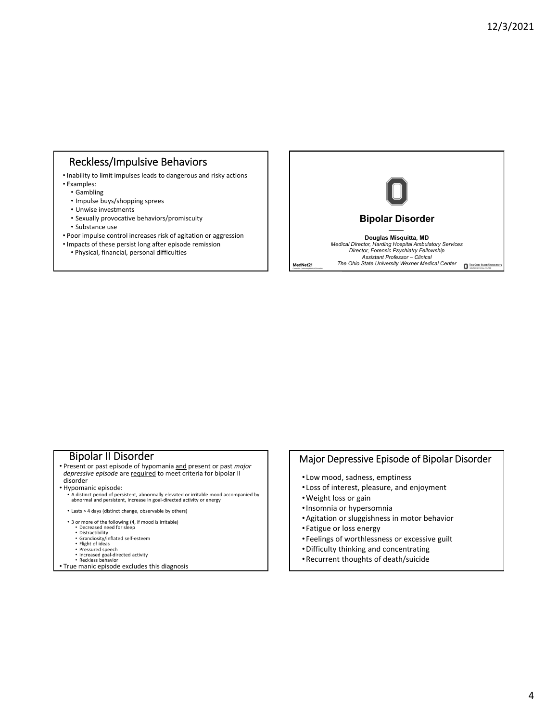# Reckless/Impulsive Behaviors

- Inability to limit impulses leads to dangerous and risky actions
- Examples:
	- Gambling
	- Impulse buys/shopping sprees
	- Unwise investments
	- Sexually provocative behaviors/promiscuity
	- Substance use
- Poor impulse control increases risk of agitation or aggression
- Impacts of these persist long after episode remission
	- Physical, financial, personal difficulties



- **Bipolar II Disorder**<br>• Present or past episode of hypomania and present or past *major depressive episode* are required to meet criteria for bipolar II
- disorder<br>• Hypomanic episode:

• Hypomanic episode:<br>• A distinct period of persistent, abnormally elevated or irritable mood accompanied by<br>• abnormal and persistent, increase in goal-directed activity or energy

• Lasts > 4 days (distinct change, observable by others)

- 3 or more of the following (4, if mood is irritable) Decreased need for sleep
	-
	-
	- Distractibility Grandiosity/inflated self‐esteem Flight of ideas Pressured speech
	-
- Increased goal‐directed activity Reckless behavior
- True manic episode excludes this diagnosis

## Major Depressive Episode of Bipolar Disorder

- Low mood, sadness, emptiness
- Loss of interest, pleasure, and enjoyment
- •Weight loss or gain
- •Insomnia or hypersomnia
- •Agitation or sluggishness in motor behavior
- Fatigue or loss energy
- Feelings of worthlessness or excessive guilt
- •Difficulty thinking and concentrating
- •Recurrent thoughts of death/suicide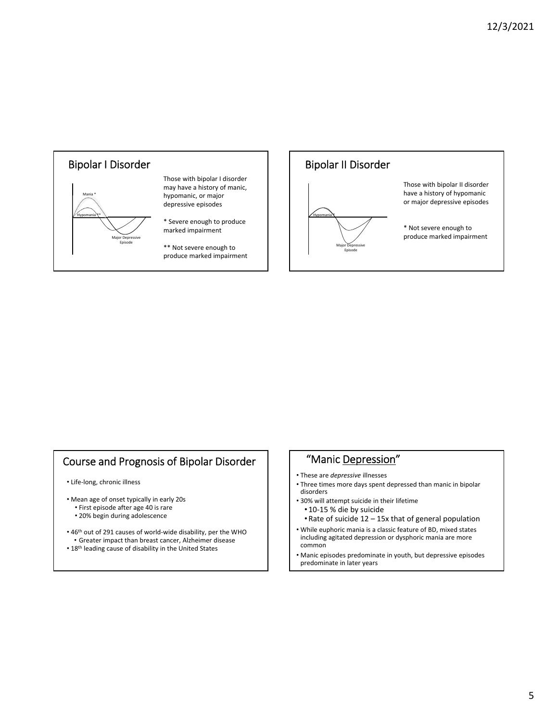



# Course and Prognosis of Bipolar Disorder

• Life‐long, chronic illness

- Mean age of onset typically in early 20s • First episode after age 40 is rare
	- 20% begin during adolescence
- 46<sup>th</sup> out of 291 causes of world-wide disability, per the WHO
- Greater impact than breast cancer, Alzheimer disease • 18<sup>th</sup> leading cause of disability in the United States

# "Manic Depression"

- These are *depressive* illnesses
- Three times more days spent depressed than manic in bipolar disorders
- 30% will attempt suicide in their lifetime
	- 10‐15 % die by suicide
	- •Rate of suicide 12 15x that of general population
- While euphoric mania is a classic feature of BD, mixed states including agitated depression or dysphoric mania are more common
- Manic episodes predominate in youth, but depressive episodes predominate in later years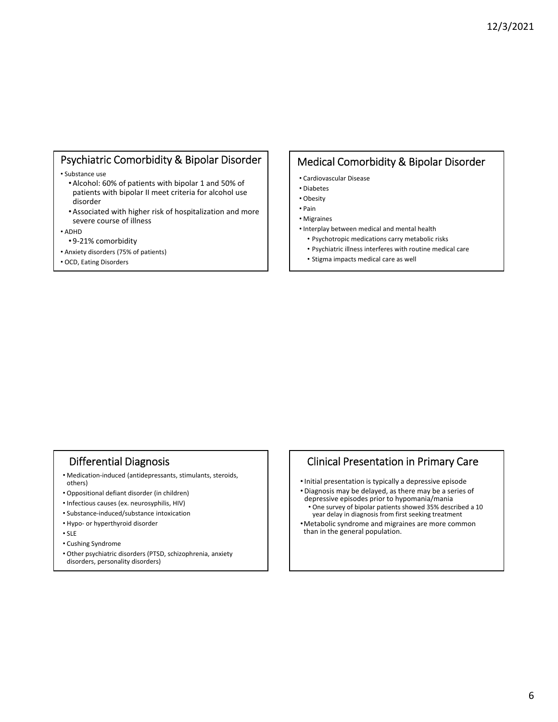# Psychiatric Comorbidity & Bipolar Disorder

• Substance use

- •Alcohol: 60% of patients with bipolar 1 and 50% of patients with bipolar II meet criteria for alcohol use disorder
- •Associated with higher risk of hospitalization and more severe course of illness

• ADHD

- 9‐21% comorbidity
- Anxiety disorders (75% of patients)
- OCD, Eating Disorders

# Medical Comorbidity & Bipolar Disorder

- Cardiovascular Disease
- Diabetes
- Obesity
- Pain
- Migraines
- Interplay between medical and mental health • Psychotropic medications carry metabolic risks
	- Psychiatric illness interferes with routine medical care
	- Stigma impacts medical care as well

# Differential Diagnosis

- Medication‐induced (antidepressants, stimulants, steroids, others)
- Oppositional defiant disorder (in children)
- Infectious causes (ex. neurosyphilis, HIV)
- Substance‐induced/substance intoxication
- Hypo‐ or hyperthyroid disorder
- SLE
- Cushing Syndrome
- Other psychiatric disorders (PTSD, schizophrenia, anxiety disorders, personality disorders)

# Clinical Presentation in Primary Care

- •Initial presentation is typically a depressive episode
- Diagnosis may be delayed, as there may be a series of depressive episodes prior to hypomania/mania
- One survey of bipolar patients showed 35% described a 10 year delay in diagnosis from first seeking treatment
- •Metabolic syndrome and migraines are more common than in the general population.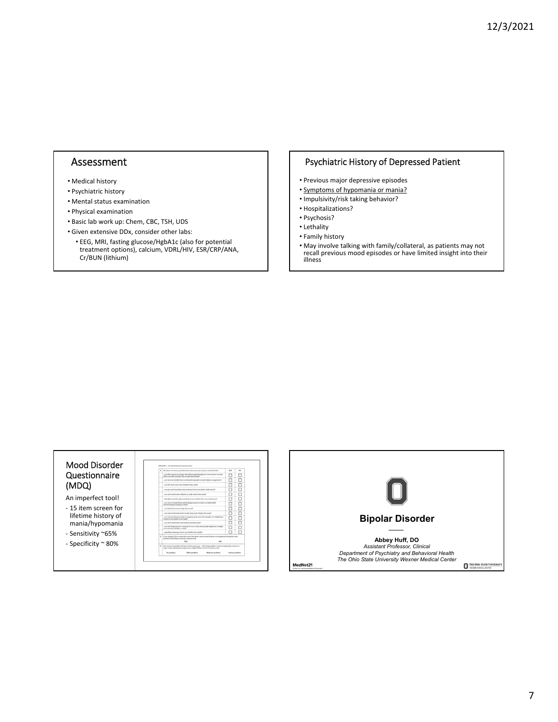## Assessment

- Medical history
- Psychiatric history
- Mental status examination
- Physical examination
- Basic lab work up: Chem, CBC, TSH, UDS
- Given extensive DDx, consider other labs:
	- EEG, MRI, fasting glucose/HgbA1c (also for potential treatment options), calcium, VDRL/HIV, ESR/CRP/ANA, Cr/BUN (lithium)

### Psychiatric History of Depressed Patient

- Previous major depressive episodes
- Symptoms of hypomania or mania?
- Impulsivity/risk taking behavior?
- Hospitalizations?
- Psychosis?
- Lethality
- Family history
- May involve talking with family/collateral, as patients may not recall previous mood episodes or have limited insight into their illness

#### Mood Disorder Questionnaire (MDQ)

- An imperfect tool! ‐ 15 item screen for lifetime history of mania/hypomania
- ‐ Sensitivity ~65%
- ‐ Specificity ~ 80%



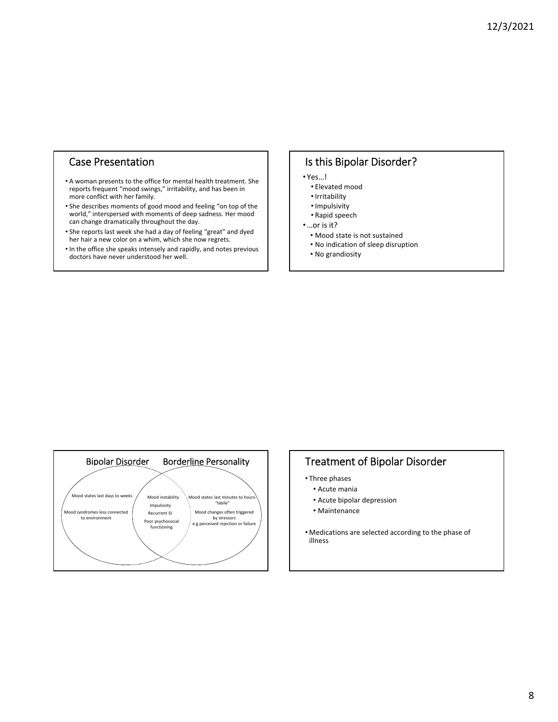# Case Presentation

- A woman presents to the office for mental health treatment. She reports frequent "mood swings," irritability, and has been in more conflict with her family.
- She describes moments of good mood and feeling "on top of the world," interspersed with moments of deep sadness. Her mood can change dramatically throughout the day.
- She reports last week she had a day of feeling "great" and dyed her hair a new color on a whim, which she now regrets.
- In the office she speaks intensely and rapidly, and notes previous doctors have never understood her well.

# Is this Bipolar Disorder?

- Yes…!
	- Elevated mood
	- •Irritability
	- •Impulsivity
	- Rapid speech
- •…or is it?
	- Mood state is not sustained
	- No indication of sleep disruption
	- No grandiosity



# Treatment of Bipolar Disorder

- Three phases
- Acute mania
- Acute bipolar depression
- Maintenance
- Medications are selected according to the phase of illness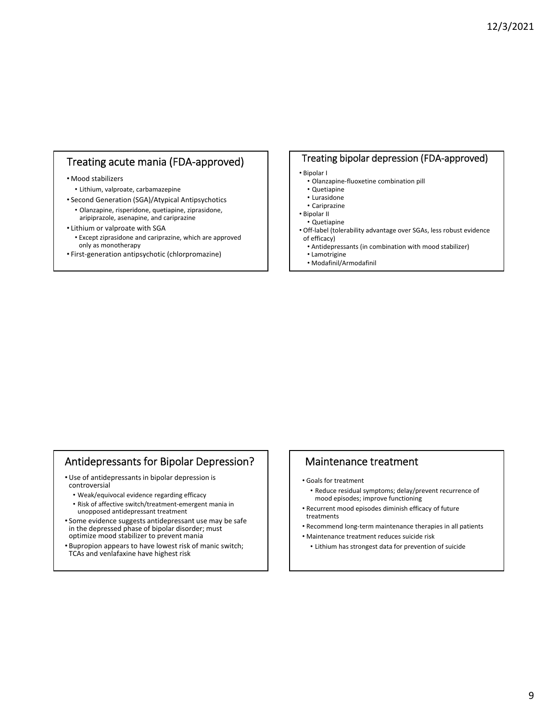# Treating acute mania (FDA‐approved)

#### • Mood stabilizers

- Lithium, valproate, carbamazepine
- Second Generation (SGA)/Atypical Antipsychotics
	- Olanzapine, risperidone, quetiapine, ziprasidone, aripiprazole, asenapine, and cariprazine

#### • Lithium or valproate with SGA

- Except ziprasidone and cariprazine, which are approved only as monotherapy
- First‐generation antipsychotic (chlorpromazine)

### Treating bipolar depression (FDA‐approved)

- Bipolar I
- Olanzapine‐fluoxetine combination pill
- Quetiapine
- Lurasidone
- Cariprazine
- Bipolar II
- Quetiapine
- Off‐label (tolerability advantage over SGAs, less robust evidence of efficacy)
	- Antidepressants (in combination with mood stabilizer)
	- Lamotrigine
	- Modafinil/Armodafinil

# Antidepressants for Bipolar Depression?

- Use of antidepressants in bipolar depression is controversial
	- Weak/equivocal evidence regarding efficacy
	- Risk of affective switch/treatment‐emergent mania in unopposed antidepressant treatment
- Some evidence suggests antidepressant use may be safe in the depressed phase of bipolar disorder; must optimize mood stabilizer to prevent mania
- Bupropion appears to have lowest risk of manic switch; TCAs and venlafaxine have highest risk

### Maintenance treatment

- Goals for treatment
	- Reduce residual symptoms; delay/prevent recurrence of mood episodes; improve functioning
- Recurrent mood episodes diminish efficacy of future treatments
- Recommend long‐term maintenance therapies in all patients
- Maintenance treatment reduces suicide risk
	- Lithium has strongest data for prevention of suicide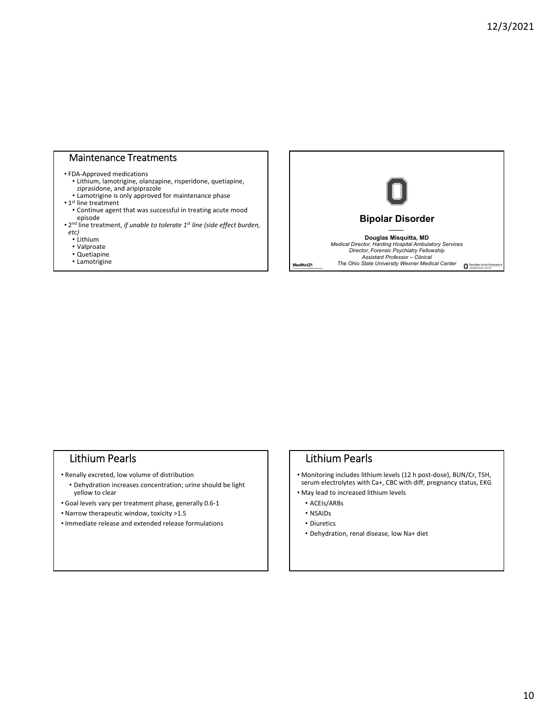# Maintenance Treatments

#### • FDA‐Approved medications

- Lithium, lamotrigine, olanzapine, risperidone, quetiapine, ziprasidone, and aripiprazole
- Lamotrigine is only approved for maintenance phase
- 1<sup>st</sup> line treatment
	- Continue agent that was successful in treating acute mood
- episode 2nd line treatment, *if unable to tolerate 1st line (side effect burden, etc)*
- Lithium
- Valproate
- Quetiapine
- Lamotrigine



### Lithium Pearls

- Renally excreted, low volume of distribution
	- Dehydration increases concentration; urine should be light yellow to clear
- Goal levels vary per treatment phase, generally 0.6‐1
- Narrow therapeutic window, toxicity >1.5
- Immediate release and extended release formulations

# Lithium Pearls

- Monitoring includes lithium levels (12 h post‐dose), BUN/Cr, TSH, serum electrolytes with Ca+, CBC with diff, pregnancy status, EKG
- May lead to increased lithium levels
	- ACEIs/ARBs
	- NSAIDs
	- Diuretics
- Dehydration, renal disease, low Na+ diet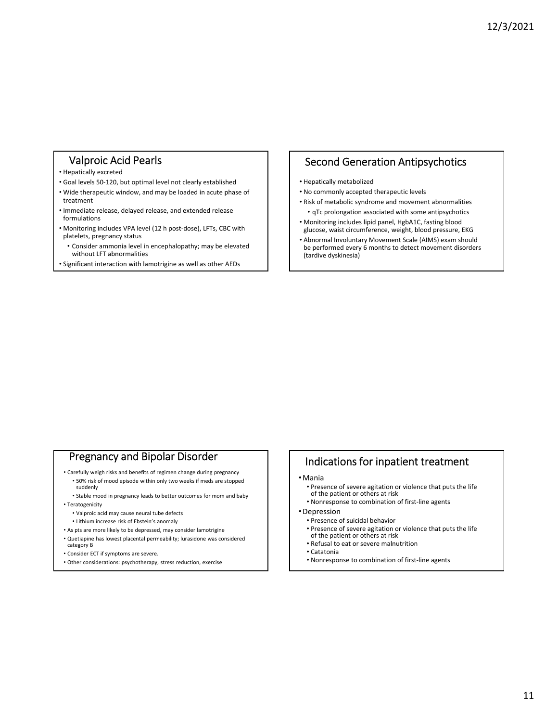# Valproic Acid Pearls

#### • Hepatically excreted

- Goal levels 50‐120, but optimal level not clearly established
- Wide therapeutic window, and may be loaded in acute phase of treatment
- Immediate release, delayed release, and extended release formulations
- Monitoring includes VPA level (12 h post‐dose), LFTs, CBC with platelets, pregnancy status
- Consider ammonia level in encephalopathy; may be elevated without LFT abnormalities
- Significant interaction with lamotrigine as well as other AEDs

## Second Generation Antipsychotics

- Hepatically metabolized
- No commonly accepted therapeutic levels
- Risk of metabolic syndrome and movement abnormalities • qTc prolongation associated with some antipsychotics
- Monitoring includes lipid panel, HgbA1C, fasting blood
- glucose, waist circumference, weight, blood pressure, EKG • Abnormal Involuntary Movement Scale (AIMS) exam should
- be performed every 6 months to detect movement disorders (tardive dyskinesia)

# Pregnancy and Bipolar Disorder

- Carefully weigh risks and benefits of regimen change during pregnancy • 50% risk of mood episode within only two weeks if meds are stopped suddenly
- Stable mood in pregnancy leads to better outcomes for mom and baby
- Teratogenicity
	- Valproic acid may cause neural tube defects
	- Lithium increase risk of Ebstein's anomaly
- As pts are more likely to be depressed, may consider lamotrigine
- Quetiapine has lowest placental permeability; lurasidone was considered category B
- Consider ECT if symptoms are severe.
- Other considerations: psychotherapy, stress reduction, exercise

# Indications for inpatient treatment

- •Mania
	- Presence of severe agitation or violence that puts the life of the patient or others at risk
- Nonresponse to combination of first‐line agents
- •Depression
	- Presence of suicidal behavior
	- Presence of severe agitation or violence that puts the life of the patient or others at risk
	- Refusal to eat or severe malnutrition
	- Catatonia
	- Nonresponse to combination of first‐line agents